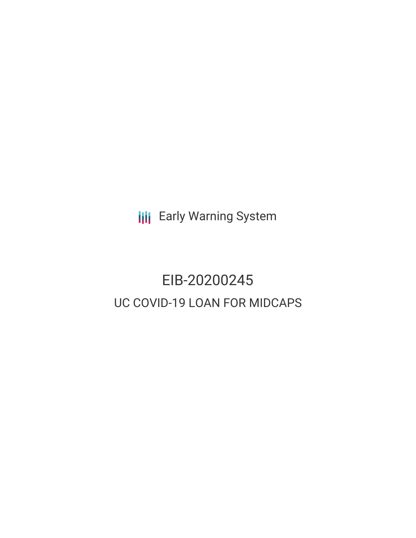**III** Early Warning System

# EIB-20200245 UC COVID-19 LOAN FOR MIDCAPS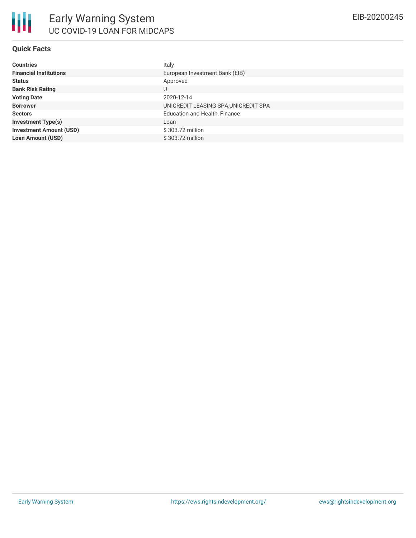#### **Quick Facts**

| <b>Countries</b>               | Italy                                |
|--------------------------------|--------------------------------------|
| <b>Financial Institutions</b>  | European Investment Bank (EIB)       |
| <b>Status</b>                  | Approved                             |
| <b>Bank Risk Rating</b>        | U                                    |
| <b>Voting Date</b>             | 2020-12-14                           |
| <b>Borrower</b>                | UNICREDIT LEASING SPA, UNICREDIT SPA |
| <b>Sectors</b>                 | <b>Education and Health, Finance</b> |
| <b>Investment Type(s)</b>      | Loan                                 |
| <b>Investment Amount (USD)</b> | $$303.72$ million                    |
| <b>Loan Amount (USD)</b>       | \$303.72 million                     |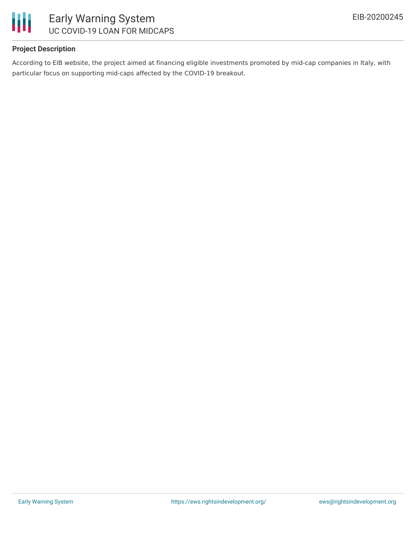

## **Project Description**

According to EIB website, the project aimed at financing eligible investments promoted by mid-cap companies in Italy, with particular focus on supporting mid-caps affected by the COVID-19 breakout.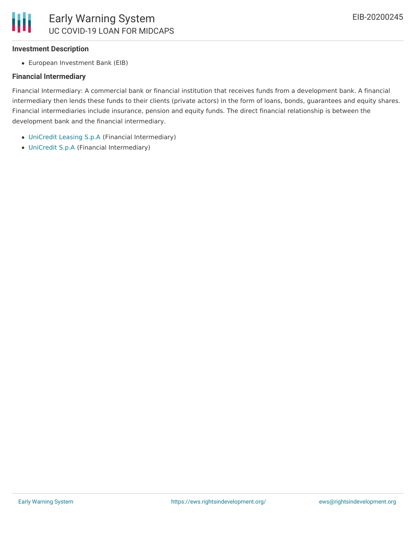

#### **Investment Description**

European Investment Bank (EIB)

## **Financial Intermediary**

Financial Intermediary: A commercial bank or financial institution that receives funds from a development bank. A financial intermediary then lends these funds to their clients (private actors) in the form of loans, bonds, guarantees and equity shares. Financial intermediaries include insurance, pension and equity funds. The direct financial relationship is between the development bank and the financial intermediary.

- [UniCredit](file:///actor/887/) Leasing S.p.A (Financial Intermediary)
- [UniCredit](file:///actor/77/) S.p.A (Financial Intermediary)